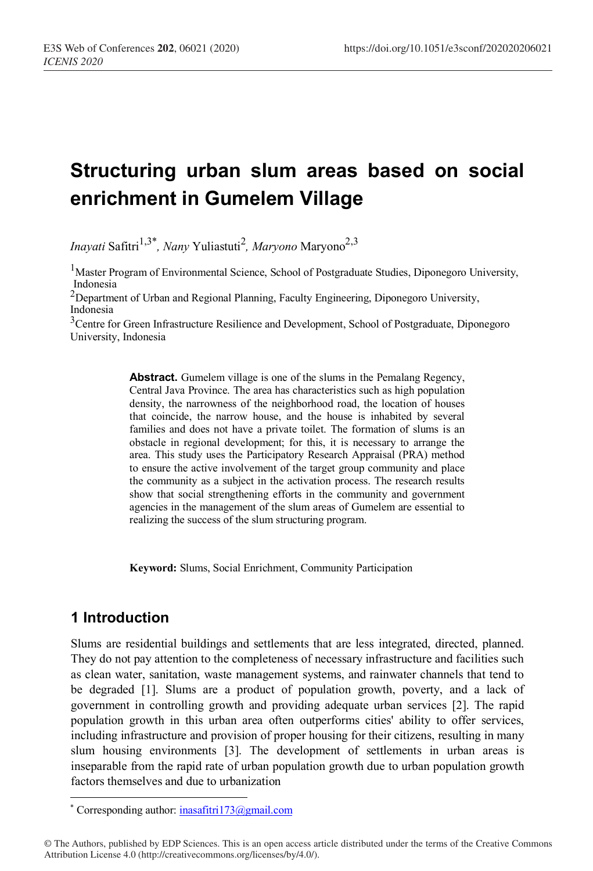# **Structuring urban slum areas based on social enrichment in Gumelem Village**

*Inayati Safitri<sup>1,3\*</sup>, Nany* Yuliastuti<sup>2</sup>, *Maryono* Maryono<sup>2,3</sup>

<sup>1</sup>Master Program of Environmental Science, School of Postgraduate Studies, Diponegoro University, Indonesia

 $2$ Department of Urban and Regional Planning, Faculty Engineering, Diponegoro University, Indonesia

<sup>3</sup>Centre for Green Infrastructure Resilience and Development, School of Postgraduate, Diponegoro University, Indonesia

> **Abstract.** Gumelem village is one of the slums in the Pemalang Regency, Central Java Province. The area has characteristics such as high population density, the narrowness of the neighborhood road, the location of houses that coincide, the narrow house, and the house is inhabited by several families and does not have a private toilet. The formation of slums is an obstacle in regional development; for this, it is necessary to arrange the area. This study uses the Participatory Research Appraisal (PRA) method to ensure the active involvement of the target group community and place the community as a subject in the activation process. The research results show that social strengthening efforts in the community and government agencies in the management of the slum areas of Gumelem are essential to realizing the success of the slum structuring program.

**Keyword:** Slums, Social Enrichment, Community Participation

# **1 Introduction**

 $\overline{a}$ 

Slums are residential buildings and settlements that are less integrated, directed, planned. They do not pay attention to the completeness of necessary infrastructure and facilities such as clean water, sanitation, waste management systems, and rainwater channels that tend to be degraded [1]. Slums are a product of population growth, poverty, and a lack of government in controlling growth and providing adequate urban services [2]. The rapid population growth in this urban area often outperforms cities' ability to offer services, including infrastructure and provision of proper housing for their citizens, resulting in many slum housing environments [3]. The development of settlements in urban areas is inseparable from the rapid rate of urban population growth due to urban population growth factors themselves and due to urbanization

<sup>\*</sup> Corresponding author: inasafitri173@gmail.com

<sup>©</sup> The Authors, published by EDP Sciences. This is an open access article distributed under the terms of the Creative Commons Attribution License 4.0 (http://creativecommons.org/licenses/by/4.0/).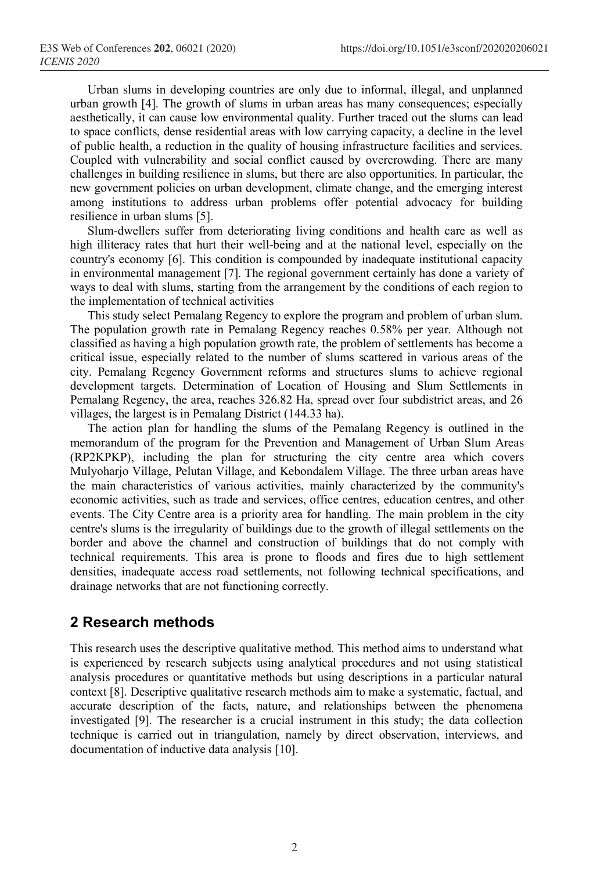Urban slums in developing countries are only due to informal, illegal, and unplanned urban growth [4]. The growth of slums in urban areas has many consequences; especially aesthetically, it can cause low environmental quality. Further traced out the slums can lead to space conflicts, dense residential areas with low carrying capacity, a decline in the level of public health, a reduction in the quality of housing infrastructure facilities and services. Coupled with vulnerability and social conflict caused by overcrowding. There are many challenges in building resilience in slums, but there are also opportunities. In particular, the new government policies on urban development, climate change, and the emerging interest among institutions to address urban problems offer potential advocacy for building resilience in urban slums [5].

Slum-dwellers suffer from deteriorating living conditions and health care as well as high illiteracy rates that hurt their well-being and at the national level, especially on the country's economy [6]. This condition is compounded by inadequate institutional capacity in environmental management [7]. The regional government certainly has done a variety of ways to deal with slums, starting from the arrangement by the conditions of each region to the implementation of technical activities

This study select Pemalang Regency to explore the program and problem of urban slum. The population growth rate in Pemalang Regency reaches 0.58% per year. Although not classified as having a high population growth rate, the problem of settlements has become a critical issue, especially related to the number of slums scattered in various areas of the city. Pemalang Regency Government reforms and structures slums to achieve regional development targets. Determination of Location of Housing and Slum Settlements in Pemalang Regency, the area, reaches 326.82 Ha, spread over four subdistrict areas, and 26 villages, the largest is in Pemalang District (144.33 ha).

The action plan for handling the slums of the Pemalang Regency is outlined in the memorandum of the program for the Prevention and Management of Urban Slum Areas (RP2KPKP), including the plan for structuring the city centre area which covers Mulyoharjo Village, Pelutan Village, and Kebondalem Village. The three urban areas have the main characteristics of various activities, mainly characterized by the community's economic activities, such as trade and services, office centres, education centres, and other events. The City Centre area is a priority area for handling. The main problem in the city centre's slums is the irregularity of buildings due to the growth of illegal settlements on the border and above the channel and construction of buildings that do not comply with technical requirements. This area is prone to floods and fires due to high settlement densities, inadequate access road settlements, not following technical specifications, and drainage networks that are not functioning correctly.

# **2 Research methods**

This research uses the descriptive qualitative method. This method aims to understand what is experienced by research subjects using analytical procedures and not using statistical analysis procedures or quantitative methods but using descriptions in a particular natural context [8]. Descriptive qualitative research methods aim to make a systematic, factual, and accurate description of the facts, nature, and relationships between the phenomena investigated [9]. The researcher is a crucial instrument in this study; the data collection technique is carried out in triangulation, namely by direct observation, interviews, and documentation of inductive data analysis [10].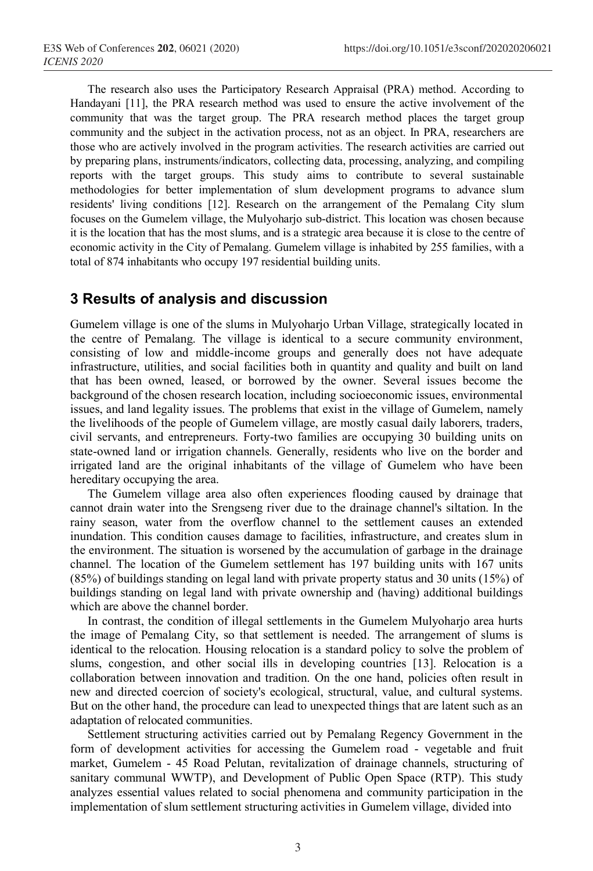The research also uses the Participatory Research Appraisal (PRA) method. According to Handayani [11], the PRA research method was used to ensure the active involvement of the community that was the target group. The PRA research method places the target group community and the subject in the activation process, not as an object. In PRA, researchers are those who are actively involved in the program activities. The research activities are carried out by preparing plans, instruments/indicators, collecting data, processing, analyzing, and compiling reports with the target groups. This study aims to contribute to several sustainable methodologies for better implementation of slum development programs to advance slum residents' living conditions [12]. Research on the arrangement of the Pemalang City slum focuses on the Gumelem village, the Mulyoharjo sub-district. This location was chosen because it is the location that has the most slums, and is a strategic area because it is close to the centre of economic activity in the City of Pemalang. Gumelem village is inhabited by 255 families, with a total of 874 inhabitants who occupy 197 residential building units.

### **3 Results of analysis and discussion**

Gumelem village is one of the slums in Mulyoharjo Urban Village, strategically located in the centre of Pemalang. The village is identical to a secure community environment, consisting of low and middle-income groups and generally does not have adequate infrastructure, utilities, and social facilities both in quantity and quality and built on land that has been owned, leased, or borrowed by the owner. Several issues become the background of the chosen research location, including socioeconomic issues, environmental issues, and land legality issues. The problems that exist in the village of Gumelem, namely the livelihoods of the people of Gumelem village, are mostly casual daily laborers, traders, civil servants, and entrepreneurs. Forty-two families are occupying 30 building units on state-owned land or irrigation channels. Generally, residents who live on the border and irrigated land are the original inhabitants of the village of Gumelem who have been hereditary occupying the area.

The Gumelem village area also often experiences flooding caused by drainage that cannot drain water into the Srengseng river due to the drainage channel's siltation. In the rainy season, water from the overflow channel to the settlement causes an extended inundation. This condition causes damage to facilities, infrastructure, and creates slum in the environment. The situation is worsened by the accumulation of garbage in the drainage channel. The location of the Gumelem settlement has 197 building units with 167 units (85%) of buildings standing on legal land with private property status and 30 units (15%) of buildings standing on legal land with private ownership and (having) additional buildings which are above the channel border.

In contrast, the condition of illegal settlements in the Gumelem Mulyoharjo area hurts the image of Pemalang City, so that settlement is needed. The arrangement of slums is identical to the relocation. Housing relocation is a standard policy to solve the problem of slums, congestion, and other social ills in developing countries [13]. Relocation is a collaboration between innovation and tradition. On the one hand, policies often result in new and directed coercion of society's ecological, structural, value, and cultural systems. But on the other hand, the procedure can lead to unexpected things that are latent such as an adaptation of relocated communities.

Settlement structuring activities carried out by Pemalang Regency Government in the form of development activities for accessing the Gumelem road - vegetable and fruit market, Gumelem - 45 Road Pelutan, revitalization of drainage channels, structuring of sanitary communal WWTP), and Development of Public Open Space (RTP). This study analyzes essential values related to social phenomena and community participation in the implementation of slum settlement structuring activities in Gumelem village, divided into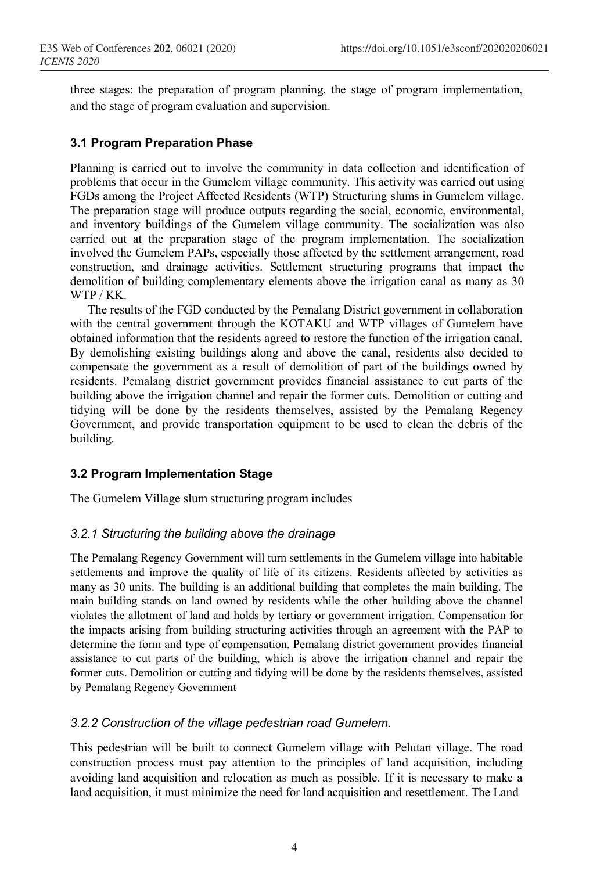three stages: the preparation of program planning, the stage of program implementation, and the stage of program evaluation and supervision.

#### **3.1 Program Preparation Phase**

Planning is carried out to involve the community in data collection and identification of problems that occur in the Gumelem village community. This activity was carried out using FGDs among the Project Affected Residents (WTP) Structuring slums in Gumelem village. The preparation stage will produce outputs regarding the social, economic, environmental, and inventory buildings of the Gumelem village community. The socialization was also carried out at the preparation stage of the program implementation. The socialization involved the Gumelem PAPs, especially those affected by the settlement arrangement, road construction, and drainage activities. Settlement structuring programs that impact the demolition of building complementary elements above the irrigation canal as many as 30 WTP / KK.

The results of the FGD conducted by the Pemalang District government in collaboration with the central government through the KOTAKU and WTP villages of Gumelem have obtained information that the residents agreed to restore the function of the irrigation canal. By demolishing existing buildings along and above the canal, residents also decided to compensate the government as a result of demolition of part of the buildings owned by residents. Pemalang district government provides financial assistance to cut parts of the building above the irrigation channel and repair the former cuts. Demolition or cutting and tidying will be done by the residents themselves, assisted by the Pemalang Regency Government, and provide transportation equipment to be used to clean the debris of the building.

#### **3.2 Program Implementation Stage**

The Gumelem Village slum structuring program includes

#### *3.2.1 Structuring the building above the drainage*

The Pemalang Regency Government will turn settlements in the Gumelem village into habitable settlements and improve the quality of life of its citizens. Residents affected by activities as many as 30 units. The building is an additional building that completes the main building. The main building stands on land owned by residents while the other building above the channel violates the allotment of land and holds by tertiary or government irrigation. Compensation for the impacts arising from building structuring activities through an agreement with the PAP to determine the form and type of compensation. Pemalang district government provides financial assistance to cut parts of the building, which is above the irrigation channel and repair the former cuts. Demolition or cutting and tidying will be done by the residents themselves, assisted by Pemalang Regency Government

#### *3.2.2 Construction of the village pedestrian road Gumelem.*

This pedestrian will be built to connect Gumelem village with Pelutan village. The road construction process must pay attention to the principles of land acquisition, including avoiding land acquisition and relocation as much as possible. If it is necessary to make a land acquisition, it must minimize the need for land acquisition and resettlement. The Land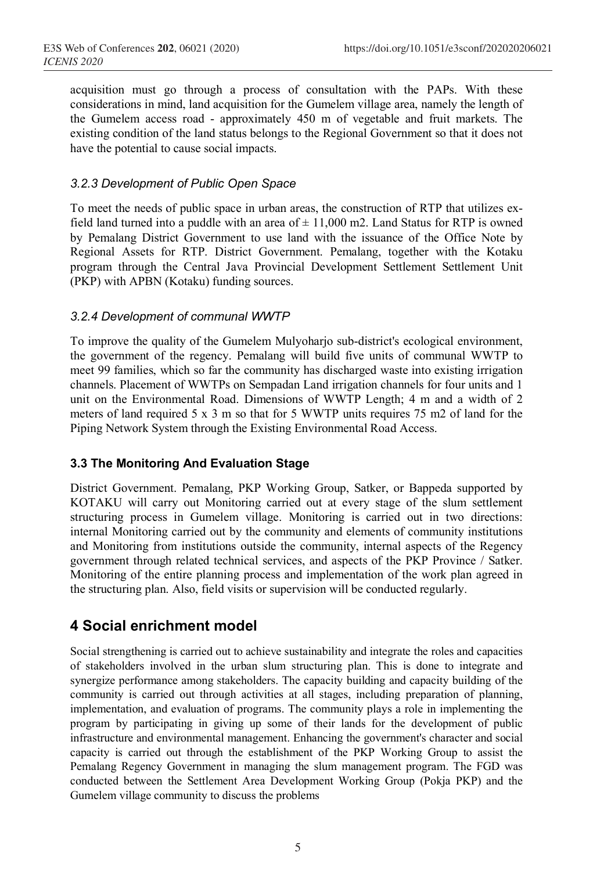acquisition must go through a process of consultation with the PAPs. With these considerations in mind, land acquisition for the Gumelem village area, namely the length of the Gumelem access road - approximately 450 m of vegetable and fruit markets. The existing condition of the land status belongs to the Regional Government so that it does not have the potential to cause social impacts.

#### *3.2.3 Development of Public Open Space*

To meet the needs of public space in urban areas, the construction of RTP that utilizes exfield land turned into a puddle with an area of  $\pm$  11,000 m2. Land Status for RTP is owned by Pemalang District Government to use land with the issuance of the Office Note by Regional Assets for RTP. District Government. Pemalang, together with the Kotaku program through the Central Java Provincial Development Settlement Settlement Unit (PKP) with APBN (Kotaku) funding sources.

#### *3.2.4 Development of communal WWTP*

To improve the quality of the Gumelem Mulyoharjo sub-district's ecological environment, the government of the regency. Pemalang will build five units of communal WWTP to meet 99 families, which so far the community has discharged waste into existing irrigation channels. Placement of WWTPs on Sempadan Land irrigation channels for four units and 1 unit on the Environmental Road. Dimensions of WWTP Length; 4 m and a width of 2 meters of land required 5 x 3 m so that for 5 WWTP units requires 75 m2 of land for the Piping Network System through the Existing Environmental Road Access.

#### **3.3 The Monitoring And Evaluation Stage**

District Government. Pemalang, PKP Working Group, Satker, or Bappeda supported by KOTAKU will carry out Monitoring carried out at every stage of the slum settlement structuring process in Gumelem village. Monitoring is carried out in two directions: internal Monitoring carried out by the community and elements of community institutions and Monitoring from institutions outside the community, internal aspects of the Regency government through related technical services, and aspects of the PKP Province / Satker. Monitoring of the entire planning process and implementation of the work plan agreed in the structuring plan. Also, field visits or supervision will be conducted regularly.

# **4 Social enrichment model**

Social strengthening is carried out to achieve sustainability and integrate the roles and capacities of stakeholders involved in the urban slum structuring plan. This is done to integrate and synergize performance among stakeholders. The capacity building and capacity building of the community is carried out through activities at all stages, including preparation of planning, implementation, and evaluation of programs. The community plays a role in implementing the program by participating in giving up some of their lands for the development of public infrastructure and environmental management. Enhancing the government's character and social capacity is carried out through the establishment of the PKP Working Group to assist the Pemalang Regency Government in managing the slum management program. The FGD was conducted between the Settlement Area Development Working Group (Pokja PKP) and the Gumelem village community to discuss the problems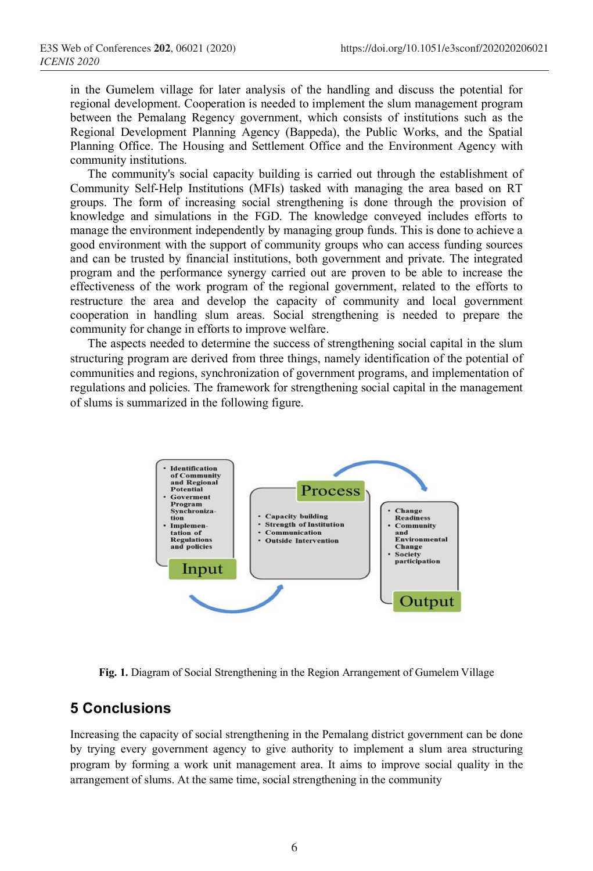in the Gumelem village for later analysis of the handling and discuss the potential for regional development. Cooperation is needed to implement the slum management program between the Pemalang Regency government, which consists of institutions such as the Regional Development Planning Agency (Bappeda), the Public Works, and the Spatial Planning Office. The Housing and Settlement Office and the Environment Agency with community institutions.

The community's social capacity building is carried out through the establishment of Community Self-Help Institutions (MFIs) tasked with managing the area based on RT groups. The form of increasing social strengthening is done through the provision of knowledge and simulations in the FGD. The knowledge conveyed includes efforts to manage the environment independently by managing group funds. This is done to achieve a good environment with the support of community groups who can access funding sources and can be trusted by financial institutions, both government and private. The integrated program and the performance synergy carried out are proven to be able to increase the effectiveness of the work program of the regional government, related to the efforts to restructure the area and develop the capacity of community and local government cooperation in handling slum areas. Social strengthening is needed to prepare the community for change in efforts to improve welfare.

The aspects needed to determine the success of strengthening social capital in the slum structuring program are derived from three things, namely identification of the potential of communities and regions, synchronization of government programs, and implementation of regulations and policies. The framework for strengthening social capital in the management of slums is summarized in the following figure.



**Fig. 1.** Diagram of Social Strengthening in the Region Arrangement of Gumelem Village

# **5 Conclusions**

Increasing the capacity of social strengthening in the Pemalang district government can be done by trying every government agency to give authority to implement a slum area structuring program by forming a work unit management area. It aims to improve social quality in the arrangement of slums. At the same time, social strengthening in the community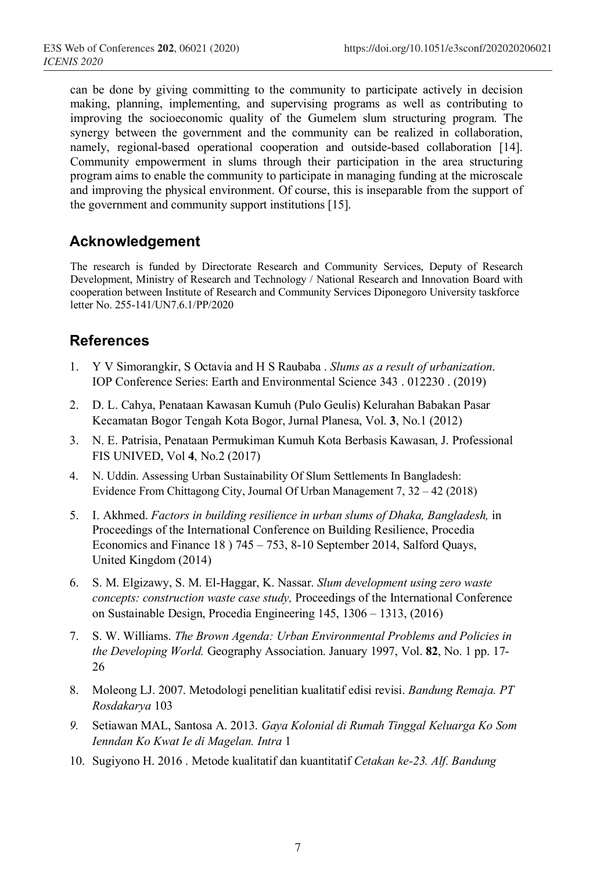can be done by giving committing to the community to participate actively in decision making, planning, implementing, and supervising programs as well as contributing to improving the socioeconomic quality of the Gumelem slum structuring program. The synergy between the government and the community can be realized in collaboration, namely, regional-based operational cooperation and outside-based collaboration [14]. Community empowerment in slums through their participation in the area structuring program aims to enable the community to participate in managing funding at the microscale and improving the physical environment. Of course, this is inseparable from the support of the government and community support institutions [15].

# **Acknowledgement**

The research is funded by Directorate Research and Community Services, Deputy of Research Development, Ministry of Research and Technology / National Research and Innovation Board with cooperation between Institute of Research and Community Services Diponegoro University taskforce letter No. 255-141/UN7.6.1/PP/2020

# **References**

- 1. Y V Simorangkir, S Octavia and H S Raubaba . *Slums as a result of urbanization*. IOP Conference Series: Earth and Environmental Science 343 . 012230 . (2019)
- 2. D. L. Cahya, Penataan Kawasan Kumuh (Pulo Geulis) Kelurahan Babakan Pasar Kecamatan Bogor Tengah Kota Bogor, Jurnal Planesa, Vol. **3**, No.1 (2012)
- 3. N. E. Patrisia, Penataan Permukiman Kumuh Kota Berbasis Kawasan, J. Professional FIS UNIVED, Vol **4**, No.2 (2017)
- 4. N. Uddin. Assessing Urban Sustainability Of Slum Settlements In Bangladesh: Evidence From Chittagong City, Journal Of Urban Management 7, 32 – 42 (2018)
- 5. I. Akhmed. *Factors in building resilience in urban slums of Dhaka, Bangladesh,* in Proceedings of the International Conference on Building Resilience, Procedia Economics and Finance 18 ) 745 – 753, 8-10 September 2014, Salford Quays, United Kingdom (2014)
- 6. S. M. Elgizawy, S. M. El-Haggar, K. Nassar. *Slum development using zero waste concepts: construction waste case study,* Proceedings of the International Conference on Sustainable Design, Procedia Engineering 145, 1306 – 1313, (2016)
- 7. S. W. Williams. *The Brown Agenda: Urban Environmental Problems and Policies in the Developing World.* Geography Association. January 1997, Vol. **82**, No. 1 pp. 17- 26
- 8. Moleong LJ. 2007. Metodologi penelitian kualitatif edisi revisi. *Bandung Remaja. PT Rosdakarya* 103
- *9.* Setiawan MAL, Santosa A. 2013. *Gaya Kolonial di Rumah Tinggal Keluarga Ko Som Ienndan Ko Kwat Ie di Magelan. Intra* 1
- 10. Sugiyono H. 2016 . Metode kualitatif dan kuantitatif *Cetakan ke-23. Alf. Bandung*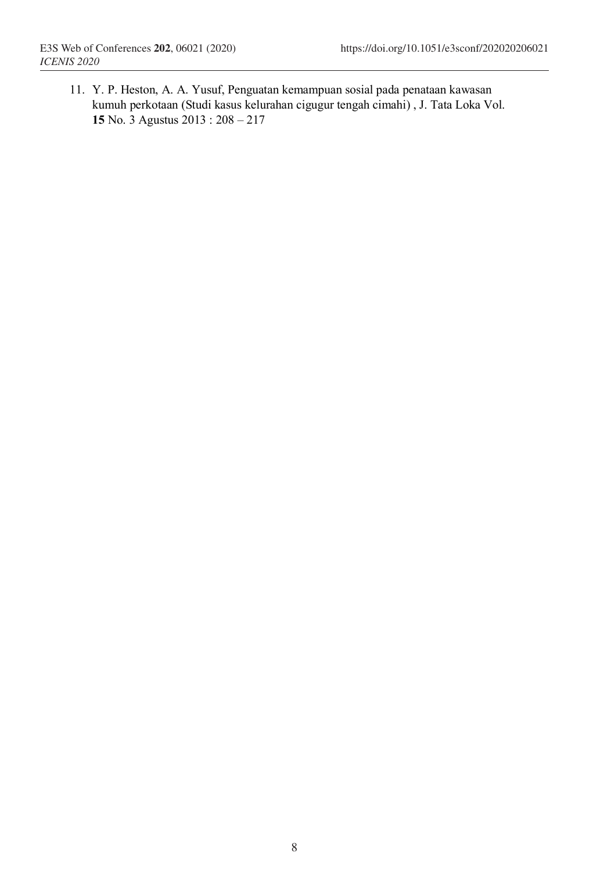11. Y. P. Heston, A. A. Yusuf, Penguatan kemampuan sosial pada penataan kawasan kumuh perkotaan (Studi kasus kelurahan cigugur tengah cimahi) , J. Tata Loka Vol. **15** No. 3 Agustus 2013 : 208 – 217